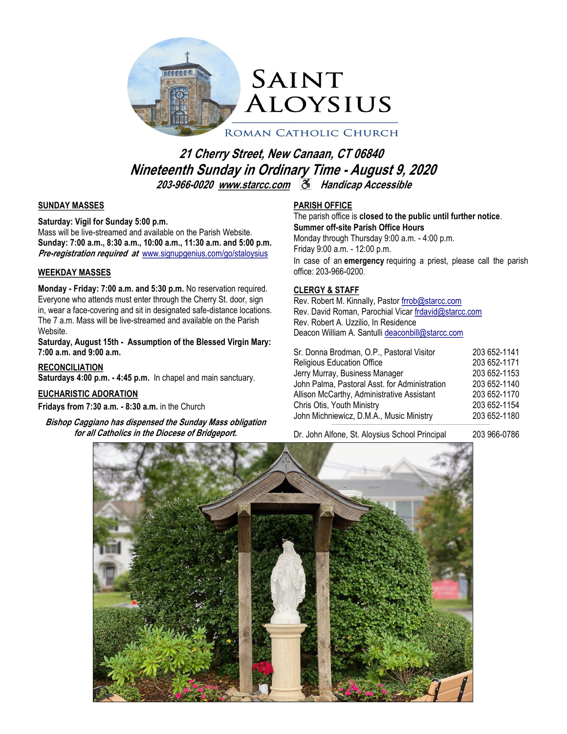

# **21 Cherry Street, New Canaan, CT 06840 Nineteenth Sunday in Ordinary Time - August 9, 2020 203-966-0020 [www.starcc.com](http://www.starcc.com) Handicap Accessible**

### **SUNDAY MASSES**

#### **Saturday: Vigil for Sunday 5:00 p.m.**

Mass will be live-streamed and available on the Parish Website. **Sunday: 7:00 a.m., 8:30 a.m., 10:00 a.m., 11:30 a.m. and 5:00 p.m. Pre-registration required at** [www.signupgenius.com/go/staloysius](https://www.signupgenius.com/go/staloysius)

### **WEEKDAY MASSES**

**Monday - Friday: 7:00 a.m. and 5:30 p.m.** No reservation required. Everyone who attends must enter through the Cherry St. door, sign in, wear a face-covering and sit in designated safe-distance locations. The 7 a.m. Mass will be live-streamed and available on the Parish Website.

**Saturday, August 15th - Assumption of the Blessed Virgin Mary: 7:00 a.m. and 9:00 a.m.**

**RECONCILIATION** 

**Saturdays 4:00 p.m. - 4:45 p.m.** In chapel and main sanctuary.

## **EUCHARISTIC ADORATION**

**Fridays from 7:30 a.m. - 8:30 a.m.** in the Church

**Bishop Caggiano has dispensed the Sunday Mass obligation for all Catholics in the Diocese of Bridgeport.** 

### **PARISH OFFICE**

The parish office is **closed to the public until further notice**. **Summer off-site Parish Office Hours** Monday through Thursday 9:00 a.m. - 4:00 p.m. Friday 9:00 a.m. - 12:00 p.m. In case of an **emergency** requiring a priest, please call the parish

office: 203-966-0200.

## **CLERGY & STAFF**

Rev. Robert M. Kinnally, Pastor [frrob@starcc.com](mailto:frrob@starcc.com) Rev. David Roman, Parochial Vicar [frdavid@starcc.com](mailto:frdavid@starcc.com) Rev. Robert A. Uzzilio, In Residence Deacon William A. Santulli [deaconbill@starcc.com](mailto:deaconbill@starcc.com)

| Sr. Donna Brodman, O.P., Pastoral Visitor<br><b>Religious Education Office</b><br>Jerry Murray, Business Manager<br>John Palma, Pastoral Asst. for Administration<br>Allison McCarthy, Administrative Assistant<br>Chris Otis, Youth Ministry | 203 652-1141<br>203 652-1171<br>203 652-1153<br>203 652-1140<br>203 652-1170<br>203 652-1154 |
|-----------------------------------------------------------------------------------------------------------------------------------------------------------------------------------------------------------------------------------------------|----------------------------------------------------------------------------------------------|
|                                                                                                                                                                                                                                               |                                                                                              |
| John Michniewicz, D.M.A., Music Ministry                                                                                                                                                                                                      | 203 652-1180                                                                                 |

Dr. John Alfone, St. Aloysius School Principal 203 966-0786

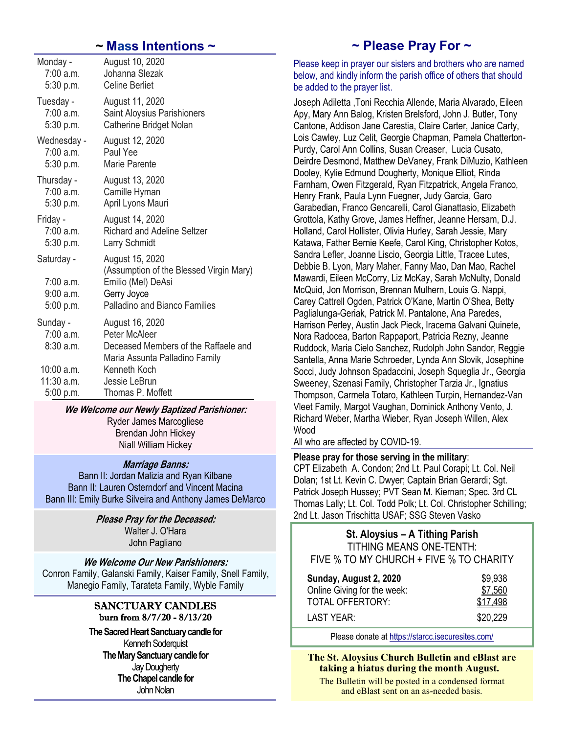## *~* **Mass Intentions ~**

| Monday -                                         | August 10, 2020                                                                                                                         |
|--------------------------------------------------|-----------------------------------------------------------------------------------------------------------------------------------------|
| 7:00 a.m.                                        | Johanna Slezak                                                                                                                          |
| 5:30 p.m.                                        | <b>Celine Berliet</b>                                                                                                                   |
| Tuesday -                                        | August 11, 2020                                                                                                                         |
| 7:00a.m.                                         | <b>Saint Aloysius Parishioners</b>                                                                                                      |
| 5:30 p.m.                                        | Catherine Bridget Nolan                                                                                                                 |
| Wednesday -                                      | August 12, 2020                                                                                                                         |
| 7:00 a.m.                                        | Paul Yee                                                                                                                                |
| 5:30 p.m.                                        | Marie Parente                                                                                                                           |
| Thursday -                                       | August 13, 2020                                                                                                                         |
| 7:00 a.m.                                        | Camille Hyman                                                                                                                           |
| 5:30 p.m.                                        | April Lyons Mauri                                                                                                                       |
| Friday -                                         | August 14, 2020                                                                                                                         |
| 7:00a.m.                                         | <b>Richard and Adeline Seltzer</b>                                                                                                      |
| 5:30 p.m.                                        | <b>Larry Schmidt</b>                                                                                                                    |
| Saturday -<br>7:00a.m.<br>9:00 a.m.<br>5:00 p.m. | August 15, 2020<br>(Assumption of the Blessed Virgin Mary)<br>Emilio (Mel) DeAsi<br>Gerry Joyce<br><b>Palladino and Bianco Families</b> |
| Sunday -<br>7:00a.m.<br>8:30 a.m.                | August 16, 2020<br>Peter McAleer<br>Deceased Members of the Raffaele and<br>Maria Assunta Palladino Family                              |
| 10:00 a.m.                                       | Kenneth Koch                                                                                                                            |
| 11:30 a.m.                                       | Jessie LeBrun                                                                                                                           |
| 5:00 p.m.                                        | Thomas P. Moffett                                                                                                                       |

## **We Welcome our Newly Baptized Parishioner:**

Ryder James Marcogliese Brendan John Hickey Niall William Hickey

## **Marriage Banns:**

Bann II: Jordan Malizia and Ryan Kilbane Bann II: Lauren Osterndorf and Vincent Macina Bann III: Emily Burke Silveira and Anthony James DeMarco

> **Please Pray for the Deceased:** Walter J. O'Hara John Pagliano

**We Welcome Our New Parishioners:** Conron Family, Galanski Family, Kaiser Family, Snell Family, Manegio Family, Tarateta Family, Wyble Family

## SANCTUARY CANDLES burn from 8/7/20 - 8/13/20

**The Sacred Heart Sanctuary candle for** Kenneth Soderquist **The Mary Sanctuary candle for** Jay Dougherty **The Chapel candle for** John Nolan

# **~ Please Pray For ~**

Please keep in prayer our sisters and brothers who are named below, and kindly inform the parish office of others that should be added to the prayer list.

Joseph Adiletta ,Toni Recchia Allende, Maria Alvarado, Eileen Apy, Mary Ann Balog, Kristen Brelsford, John J. Butler, Tony Cantone, Addison Jane Carestia, Claire Carter, Janice Carty, Lois Cawley, Luz Celit, Georgie Chapman, Pamela Chatterton-Purdy, Carol Ann Collins, Susan Creaser, Lucia Cusato, Deirdre Desmond, Matthew DeVaney, Frank DiMuzio, Kathleen Dooley, Kylie Edmund Dougherty, Monique Elliot, Rinda Farnham, Owen Fitzgerald, Ryan Fitzpatrick, Angela Franco, Henry Frank, Paula Lynn Fuegner, Judy Garcia, Garo Garabedian, Franco Gencarelli, Carol Gianattasio, Elizabeth Grottola, Kathy Grove, James Heffner, Jeanne Hersam, D.J. Holland, Carol Hollister, Olivia Hurley, Sarah Jessie, Mary Katawa, Father Bernie Keefe, Carol King, Christopher Kotos, Sandra Lefler, Joanne Liscio, Georgia Little, Tracee Lutes, Debbie B. Lyon, Mary Maher, Fanny Mao, Dan Mao, Rachel Mawardi, Eileen McCorry, Liz McKay, Sarah McNulty, Donald McQuid, Jon Morrison, Brennan Mulhern, Louis G. Nappi, Carey Cattrell Ogden, Patrick O'Kane, Martin O'Shea, Betty Paglialunga-Geriak, Patrick M. Pantalone, Ana Paredes, Harrison Perley, Austin Jack Pieck, Iracema Galvani Quinete, Nora Radocea, Barton Rappaport, Patricia Rezny, Jeanne Ruddock, Maria Cielo Sanchez, Rudolph John Sandor, Reggie Santella, Anna Marie Schroeder, Lynda Ann Slovik, Josephine Socci, Judy Johnson Spadaccini, Joseph Squeglia Jr., Georgia Sweeney, Szenasi Family, Christopher Tarzia Jr., Ignatius Thompson, Carmela Totaro, Kathleen Turpin, Hernandez-Van Vleet Family, Margot Vaughan, Dominick Anthony Vento, J. Richard Weber, Martha Wieber, Ryan Joseph Willen, Alex Wood

All who are affected by COVID-19.

## **Please pray for those serving in the military**:

CPT Elizabeth A. Condon; 2nd Lt. Paul Corapi; Lt. Col. Neil Dolan; 1st Lt. Kevin C. Dwyer; Captain Brian Gerardi; Sgt. Patrick Joseph Hussey; PVT Sean M. Kiernan; Spec. 3rd CL Thomas Lally; Lt. Col. Todd Polk; Lt. Col. Christopher Schilling; 2nd Lt. Jason Trischitta USAF; SSG Steven Vasko

| St. Aloysius - A Tithing Parish         |  |
|-----------------------------------------|--|
| <b>TITHING MEANS ONE-TENTH:</b>         |  |
| FIVE % TO MY CHURCH + FIVE % TO CHARITY |  |

| Sunday, August 2, 2020      | \$9,938  |
|-----------------------------|----------|
| Online Giving for the week: | \$7,560  |
| <b>TOTAL OFFERTORY:</b>     | \$17.498 |
| LAST YEAR:                  | \$20,229 |

Please donate at <https://starcc.isecuresites.com/>

**The St. Aloysius Church Bulletin and eBlast are taking a hiatus during the month August.**

The Bulletin will be posted in a condensed format and eBlast sent on an as-needed basis.